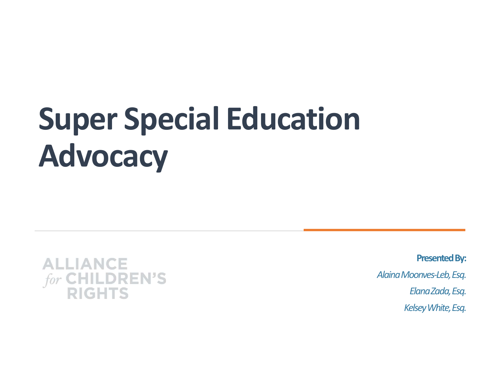# Super Special Education Advocacy



Presented By: Alaina Moonves-Leb, Esq. Elana Zada, Esq. Kelsey White, Esq.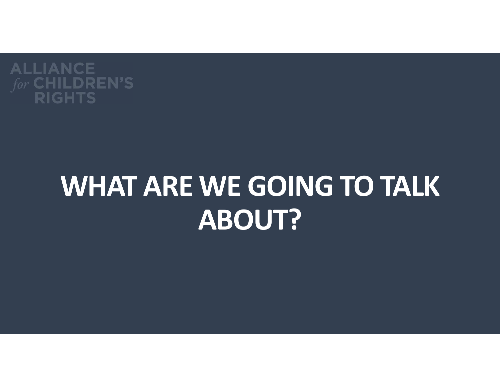

## WHAT ARE WE GOING TO TALK ABOUT?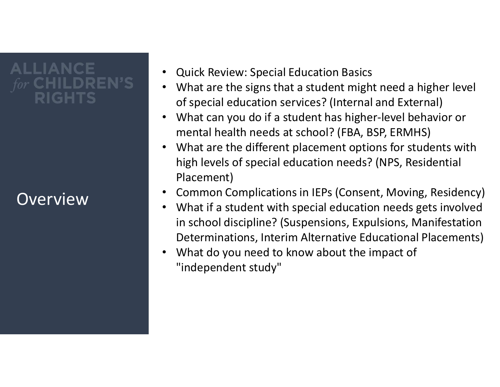### **ALLIANCE** RIGHTS

### **Overview**

- Quick Review: Special Education Basics
- What are the signs that a student might need a higher level of special education services? (Internal and External)
- What can you do if a student has higher-level behavior or mental health needs at school? (FBA, BSP, ERMHS)
- What are the different placement options for students with high levels of special education needs? (NPS, Residential Placement)
- Common Complications in IEPs (Consent, Moving, Residency)
- What if a student with special education needs gets involved in school discipline? (Suspensions, Expulsions, Manifestation Determinations, Interim Alternative Educational Placements)
- What do you need to know about the impact of "independent study"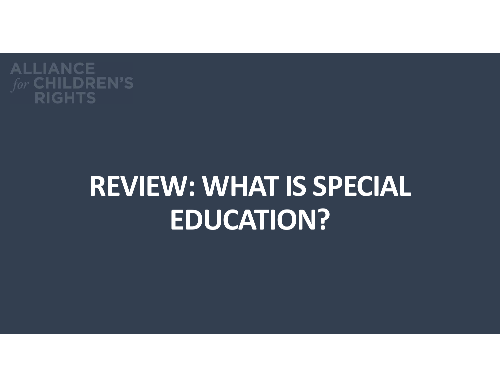

# REVIEW: WHAT IS SPECIAL EDUCATION?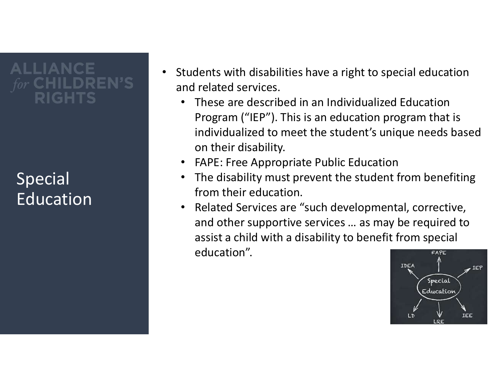# IIANCE

### Special Education

- Students with disabilities have a right to special education and related services.
	- These are described in an Individualized Education Program ("IEP"). This is an education program that is individualized to meet the student's unique needs based on their disability.
	- FAPE: Free Appropriate Public Education
	- The disability must prevent the student from benefiting from their education.
	- Related Services are "such developmental, corrective, and other supportive services … as may be required to assist a child with a disability to benefit from special education".FAPE

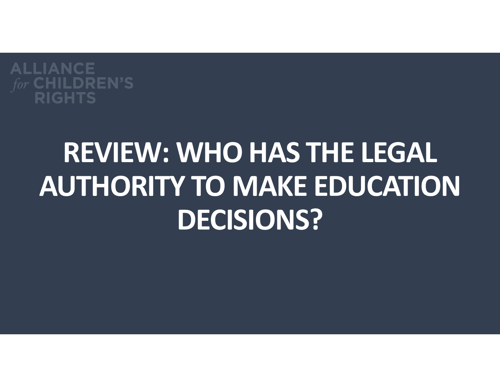

# REVIEW: WHO HAS THE LEGAL AUTHORITY TO MAKE EDUCATION DECISIONS?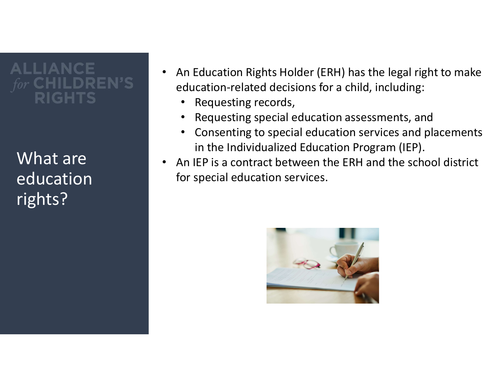# LIANCE

What are education rights?

- An Education Rights Holder (ERH) has the legal right to make education-related decisions for a child, including:
	- Requesting records,
	- Requesting special education assessments, and
	- Consenting to special education services and placements in the Individualized Education Program (IEP).
- An IEP is a contract between the ERH and the school district for special education services.

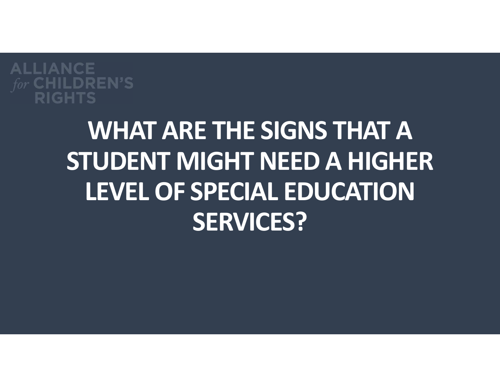

### WHAT ARE THE SIGNS THAT A STUDENT MIGHT NEED A HIGHER LEVEL OF SPECIAL EDUCATION SERVICES?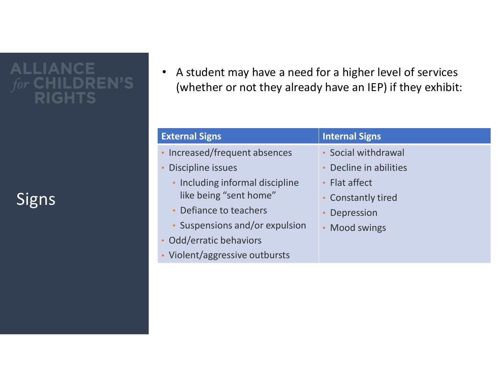**ALLIANCE** IGHTS

**Signs** 

• A student may have a need for a higher level of services (whether or not they already have an IEP) if they exhibit: • A student may have a need for a higher level of services<br>
(whether or not they already have an IEP) if they exhibit:<br>
External Signs<br>
Internal Signs<br>
Internal Signs<br>
Internal Signs<br>
Internal Signs<br>
Internal Signs<br>
Intern

- Increased/frequent absences
- Discipline issues
	- Including informal discipline like being "sent home"
	- Defiance to teachers
	- Suspensions and/or expulsion
- Odd/erratic behaviors
- Violent/aggressive outbursts

- Social withdrawal
- Decline in abilities
- Flat affect
- Constantly tired
- Depression
- Mood swings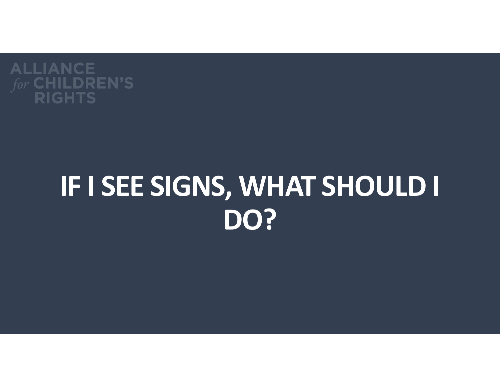

# IF I SEE SIGNS, WHAT SHOULD I DO?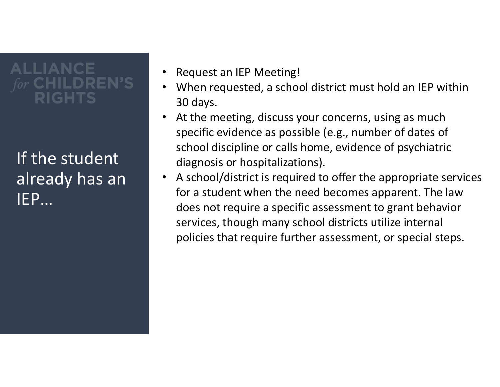### **ALLIANCE** GHTS

If the student already has an state IEP…

- Request an IEP Meeting!
- When requested, a school district must hold an IEP within 30 days.
- At the meeting, discuss your concerns, using as much specific evidence as possible (e.g., number of dates of school discipline or calls home, evidence of psychiatric diagnosis or hospitalizations).
- A school/district is required to offer the appropriate services for a student when the need becomes apparent. The law does not require a specific assessment to grant behavior services, though many school districts utilize internal policies that require further assessment, or special steps.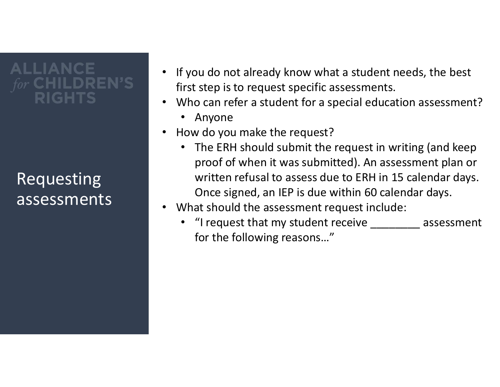# **ALLIANCE**

### **Requesting** assessments |

- If you do not already know what a student needs, the best first step is to request specific assessments.
- Who can refer a student for a special education assessment?
	- Anyone
- How do you make the request?
	- The ERH should submit the request in writing (and keep proof of when it was submitted). An assessment plan or written refusal to assess due to ERH in 15 calendar days. Once signed, an IEP is due within 60 calendar days.
- What should the assessment request include:
	- "I request that my student receive \_\_\_\_\_\_\_\_\_ assessment for the following reasons…"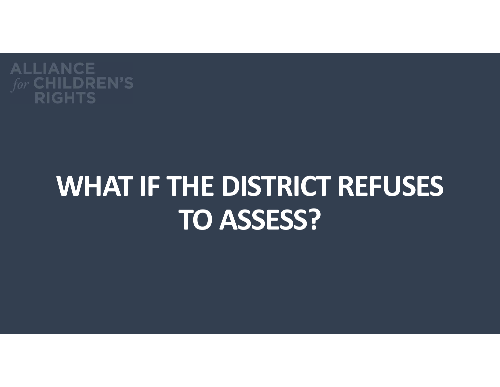

## WHAT IF THE DISTRICT REFUSES TO ASSESS?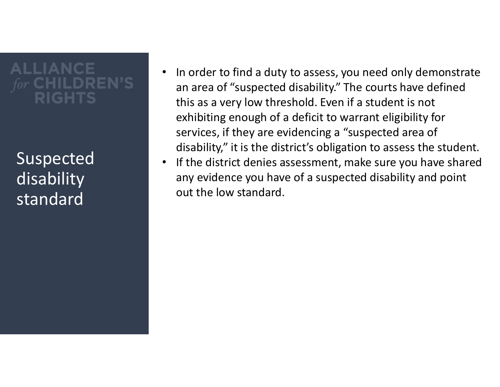### **ALLIANCE** GHTS

Suspected disability standard

- In order to find a duty to assess, you need only demonstrate an area of "suspected disability." The courts have defined this as a very low threshold. Even if a student is not exhibiting enough of a deficit to warrant eligibility for services, if they are evidencing a "suspected area of disability," it is the district's obligation to assess the student.
- If the district denies assessment, make sure you have shared any evidence you have of a suspected disability and point out the low standard.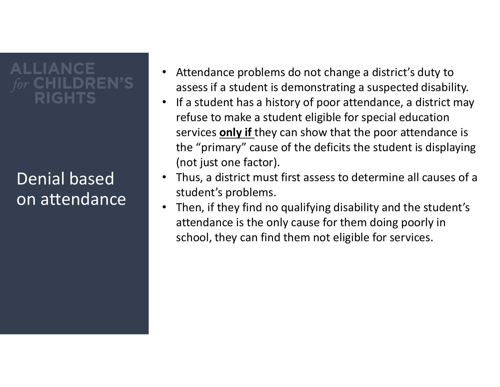# **ALLIANCE**

### Denial based on attendance quality

- Attendance problems do not change a district's duty to assess if a student is demonstrating a suspected disability.
- If a student has a history of poor attendance, a district may refuse to make a student eligible for special education services **only if** they can show that the poor attendance is the "primary" cause of the deficits the student is displaying (not just one factor).
- Thus, a district must first assess to determine all causes of a student's problems.
- Then, if they find no qualifying disability and the student's attendance is the only cause for them doing poorly in school, they can find them not eligible for services.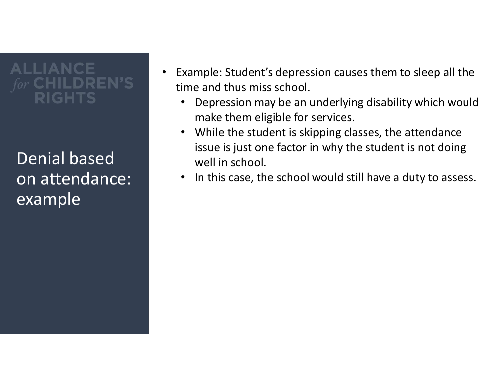### **ALLIANCE** GHTS

Denial based on attendance: example

- Example: Student's depression causes them to sleep all the time and thus miss school.
	- Depression may be an underlying disability which would make them eligible for services.
	- While the student is skipping classes, the attendance issue is just one factor in why the student is not doing well in school.
	- In this case, the school would still have a duty to assess.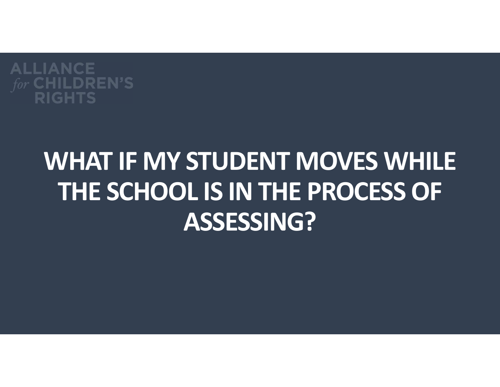

### WHAT IF MY STUDENT MOVES WHILE THE SCHOOL IS IN THE PROCESS OF ASSESSING?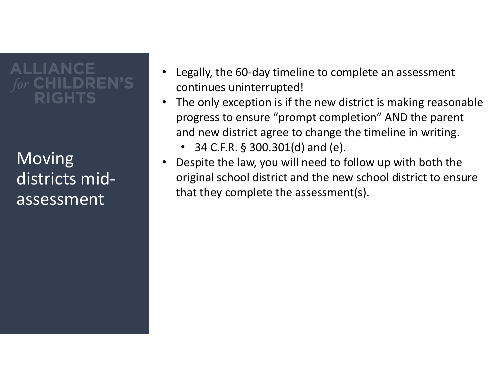# **ALLIANCE**

**Moving** districts midassessment

- Legally, the 60-day timeline to complete an assessment continues uninterrupted!
- The only exception is if the new district is making reasonable progress to ensure "prompt completion" AND the parent and new district agree to change the timeline in writing. egally, the 60-day timeline to complete an assessment<br>ontinues uninterrupted!<br>The only exception is if the new district is making reasor<br>progress to ensure "prompt completion" AND the parer<br>ind new district agree to change
- Despite the law, you will need to follow up with both the original school district and the new school district to ensure that they complete the assessment(s).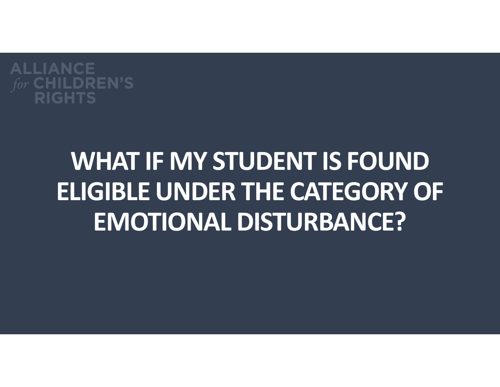

### WHAT IF MY STUDENT IS FOUND ELIGIBLE UNDER THE CATEGORY OF EMOTIONAL DISTURBANCE?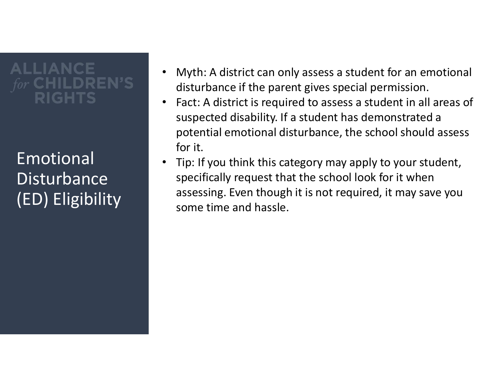# **ALLIANCE**

Emotional **Disturbance** (ED) Eligibility

- Myth: A district can only assess a student for an emotional disturbance if the parent gives special permission.
- Fact: A district is required to assess a student in all areas of suspected disability. If a student has demonstrated a potential emotional disturbance, the school should assess for it.
- Tip: If you think this category may apply to your student, specifically request that the school look for it when assessing. Even though it is not required, it may save you some time and hassle.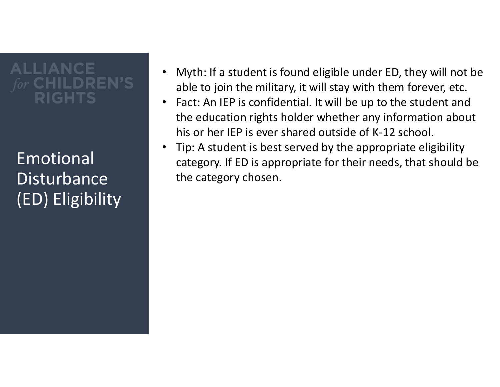### **ALLIANCE** IGHTS

Emotional **Disturbance** (ED) Eligibility

- Myth: If a student is found eligible under ED, they will not be able to join the military, it will stay with them forever, etc.
- Fact: An IEP is confidential. It will be up to the student and the education rights holder whether any information about his or her IEP is ever shared outside of K-12 school.
- Tip: A student is best served by the appropriate eligibility category. If ED is appropriate for their needs, that should be the category chosen.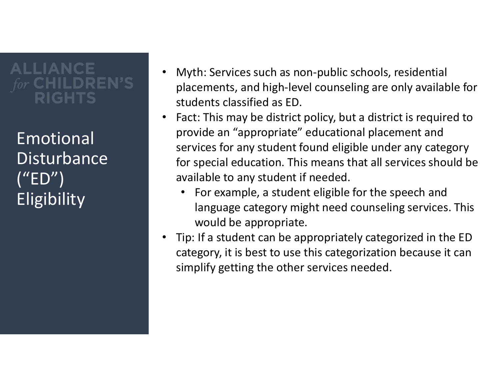### **ALLIANCE** IGHTS

Emotional **Disturbance** ("ED") **Eligibility** 

- Myth: Services such as non-public schools, residential placements, and high-level counseling are only available for students classified as ED.
- Fact: This may be district policy, but a district is required to provide an "appropriate" educational placement and services for any student found eligible under any category for special education. This means that all services should be available to any student if needed.
	- For example, a student eligible for the speech and language category might need counseling services. This would be appropriate.
- Tip: If a student can be appropriately categorized in the ED category, it is best to use this categorization because it can simplify getting the other services needed.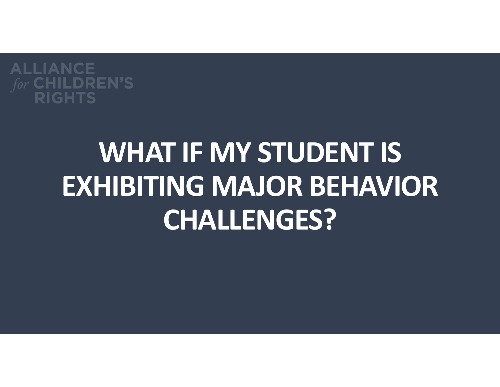

# WHAT IF MY STUDENT IS EXHIBITING MAJOR BEHAVIOR CHALLENGES?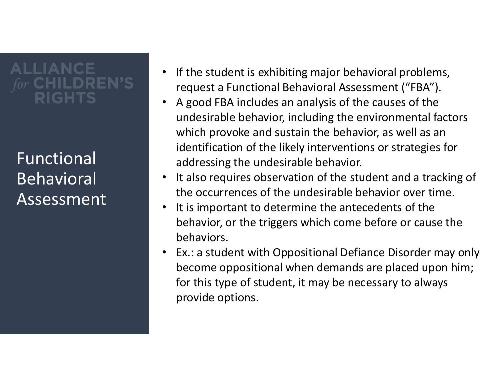### **ALLIANCE** RIGHTS

Functional Behavioral Assessment .

- If the student is exhibiting major behavioral problems, request a Functional Behavioral Assessment ("FBA").
- A good FBA includes an analysis of the causes of the undesirable behavior, including the environmental factors which provoke and sustain the behavior, as well as an identification of the likely interventions or strategies for addressing the undesirable behavior.
- It also requires observation of the student and a tracking of the occurrences of the undesirable behavior over time.
- It is important to determine the antecedents of the behavior, or the triggers which come before or cause the behaviors.
- Ex.: a student with Oppositional Defiance Disorder may only become oppositional when demands are placed upon him; for this type of student, it may be necessary to always provide options.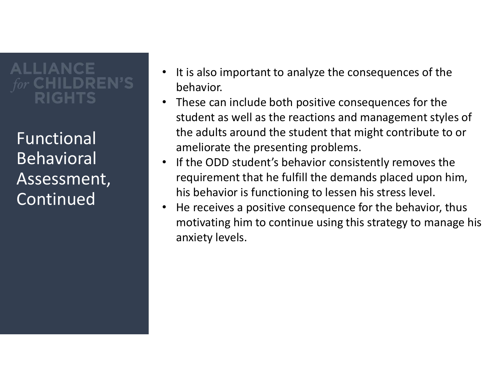# **ALLIANCE**

Functional Behavioral Assessment, Continued

- It is also important to analyze the consequences of the behavior.
- These can include both positive consequences for the student as well as the reactions and management styles of the adults around the student that might contribute to or ameliorate the presenting problems.
- If the ODD student's behavior consistently removes the requirement that he fulfill the demands placed upon him, his behavior is functioning to lessen his stress level.
- He receives a positive consequence for the behavior, thus motivating him to continue using this strategy to manage his anxiety levels.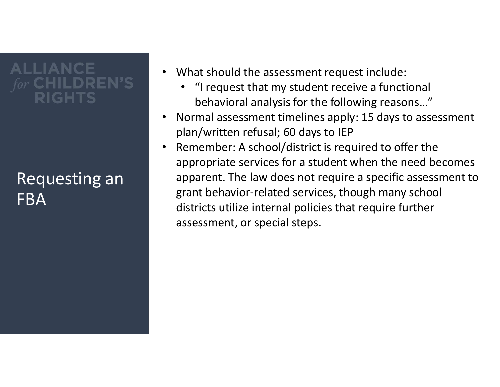### **ALLIANCE** IGHTS

#### Requesting an FBA

- What should the assessment request include:
	- "I request that my student receive a functional behavioral analysis for the following reasons…"
- Normal assessment timelines apply: 15 days to assessment plan/written refusal; 60 days to IEP
- Remember: A school/district is required to offer the appropriate services for a student when the need becomes apparent. The law does not require a specific assessment to grant behavior-related services, though many school districts utilize internal policies that require further assessment, or special steps.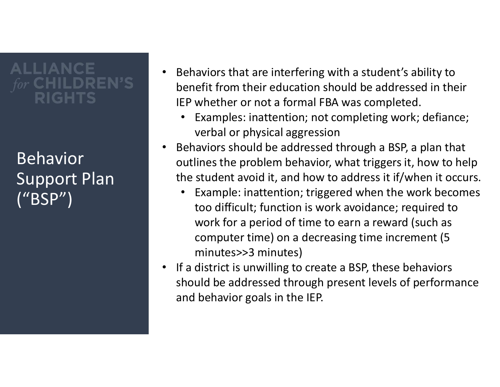### **ALLIANCE** RIGHTS

Behavior Support Plan ("BSP")

- Behaviors that are interfering with a student's ability to benefit from their education should be addressed in their IEP whether or not a formal FBA was completed.
	- Examples: inattention; not completing work; defiance; verbal or physical aggression
- Behaviors should be addressed through a BSP, a plan that outlines the problem behavior, what triggers it, how to help the student avoid it, and how to address it if/when it occurs.
	- Example: inattention; triggered when the work becomes too difficult; function is work avoidance; required to work for a period of time to earn a reward (such as computer time) on a decreasing time increment (5 minutes>>3 minutes)
- If a district is unwilling to create a BSP, these behaviors should be addressed through present levels of performance and behavior goals in the IEP.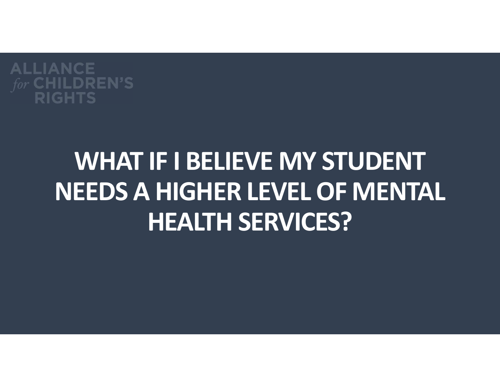

### WHAT IF I BELIEVE MY STUDENT NEEDS A HIGHER LEVEL OF MENTAL HEALTH SERVICES?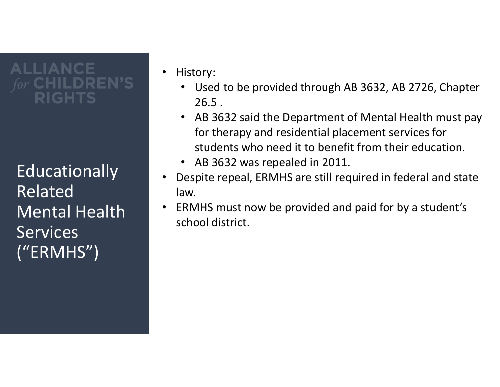### **ALLIANCE** GHTS

**Educationally** Related Mental Health **Services** ("ERMHS")

- History:
	- Used to be provided through AB 3632, AB 2726, Chapter 26.5 .
	- AB 3632 said the Department of Mental Health must pay for therapy and residential placement services for students who need it to benefit from their education.
	- AB 3632 was repealed in 2011.
- Despite repeal, ERMHS are still required in federal and state law.
- ERMHS must now be provided and paid for by a student's school district.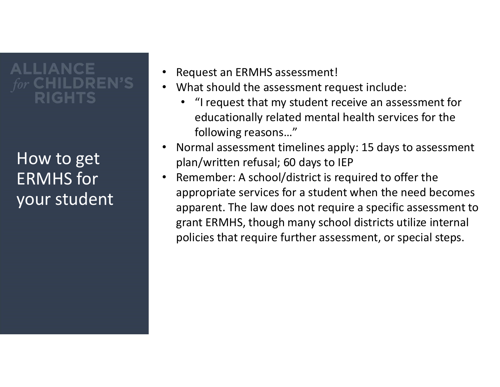### **ALLIANCE** IGHTS

How to get ERMHS for your student

- Request an ERMHS assessment!
- What should the assessment request include:
	- "I request that my student receive an assessment for educationally related mental health services for the following reasons…"
- Normal assessment timelines apply: 15 days to assessment plan/written refusal; 60 days to IEP
- Remember: A school/district is required to offer the appropriate services for a student when the need becomes apparent. The law does not require a specific assessment to grant ERMHS, though many school districts utilize internal policies that require further assessment, or special steps.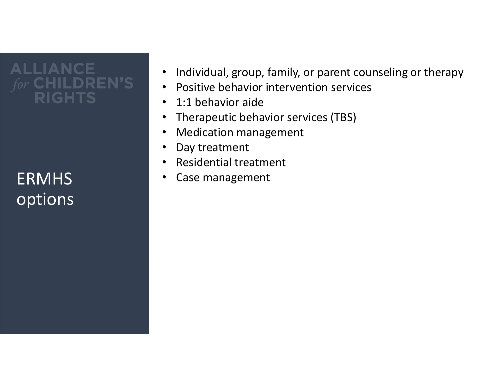#### **ALLIANCE CHILDREN'S RIGHTS**

options

- Individual, group, family, or parent counseling or therapy
- Positive behavior intervention services
- 1:1 behavior aide
- Therapeutic behavior services (TBS)
- Medication management
- Day treatment
- Residential treatment
- ERMHS Case management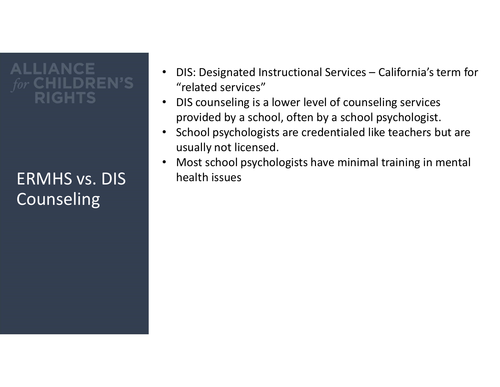### **ALLIANCE** IGHTS

ERMHS vs. DIS health issues Counseling

- DIS: Designated Instructional Services California's term for<br>"related services"<br>• DIS counseling is a lower level of counseling services<br>provided by a school, often by a school psychologist. "related services"
- DIS counseling is a lower level of counseling services provided by a school, often by a school psychologist.
- School psychologists are credentialed like teachers but are usually not licensed.
- Most school psychologists have minimal training in mental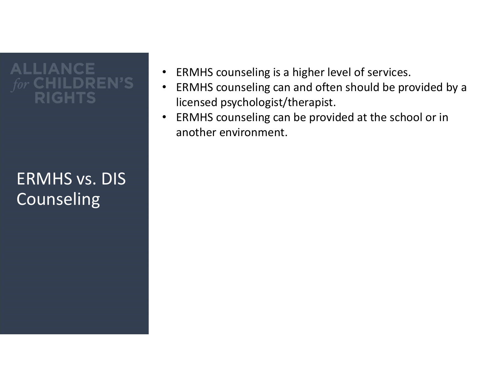#### **ALLIANCE** EN'S GHTS

#### ERMHS vs. DIS Counseling

- ERMHS counseling is a higher level of services.
- ERMHS counseling can and often should be provided by a licensed psychologist/therapist.
- ERMHS counseling can be provided at the school or in another environment.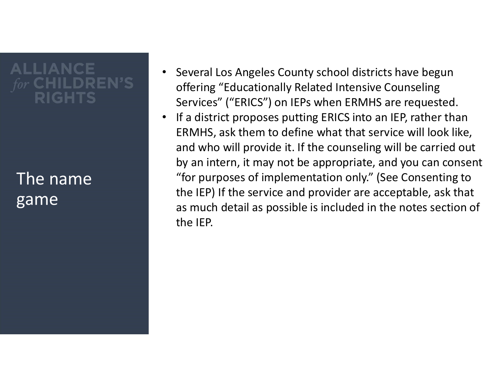### **ALLIANCE** GHTS

#### The name game

- Several Los Angeles County school districts have begun offering "Educationally Related Intensive Counseling Services" ("ERICS") on IEPs when ERMHS are requested.
- If a district proposes putting ERICS into an IEP, rather than ERMHS, ask them to define what that service will look like, and who will provide it. If the counseling will be carried out by an intern, it may not be appropriate, and you can consent "for purposes of implementation only." (See Consenting to the IEP) If the service and provider are acceptable, ask that as much detail as possible is included in the notes section of the IEP.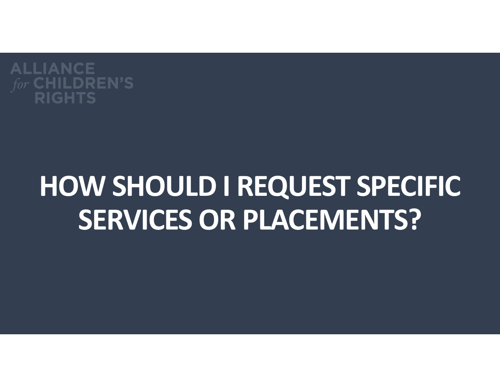

# HOW SHOULD I REQUEST SPECIFIC SERVICES OR PLACEMENTS?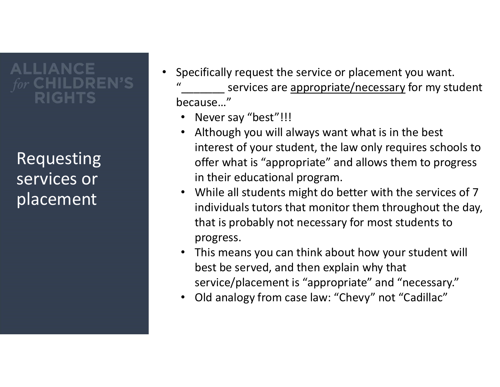### **ALLIANCE** IGHTS

Requesting services or placement

- Specifically request the service or placement you want. "\_\_\_\_\_\_\_ services are appropriate/necessary for my student because…"
	- Never say "best"!!!
	- Although you will always want what is in the best interest of your student, the law only requires schools to offer what is "appropriate" and allows them to progress in their educational program.
	- While all students might do better with the services of 7 individuals tutors that monitor them throughout the day, that is probably not necessary for most students to progress.
	- This means you can think about how your student will best be served, and then explain why that service/placement is "appropriate" and "necessary."
	- Old analogy from case law: "Chevy" not "Cadillac"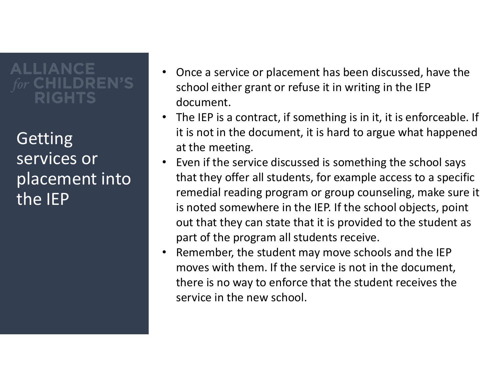Getting services or placement into the IEP

- Once a service or placement has been discussed, have the school either grant or refuse it in writing in the IEP document.
- The IEP is a contract, if something is in it, it is enforceable. If it is not in the document, it is hard to argue what happened at the meeting.
- Even if the service discussed is something the school says that they offer all students, for example access to a specific remedial reading program or group counseling, make sure it is noted somewhere in the IEP. If the school objects, point out that they can state that it is provided to the student as part of the program all students receive.
- Remember, the student may move schools and the IEP moves with them. If the service is not in the document, there is no way to enforce that the student receives the service in the new school.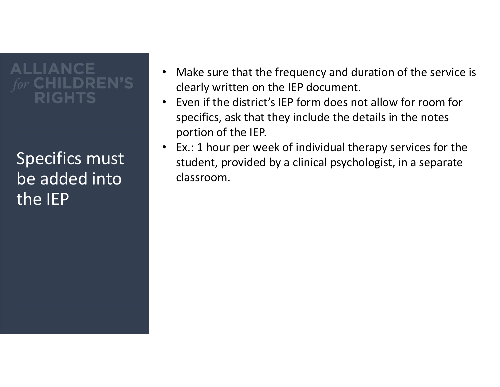Specifics must be added into the IEP

- Make sure that the frequency and duration of the service is clearly written on the IEP document.
- Even if the district's IEP form does not allow for room for specifics, ask that they include the details in the notes portion of the IEP.
- Ex.: 1 hour per week of individual therapy services for the student, provided by a clinical psychologist, in a separate classroom.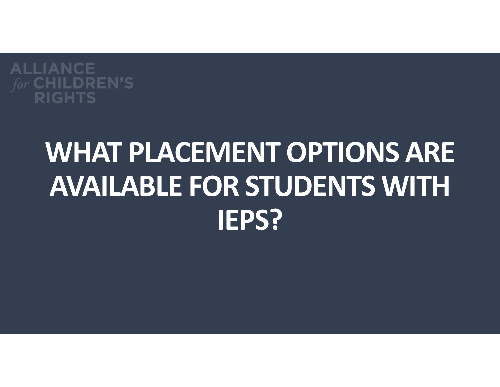

## WHAT PLACEMENT OPTIONS ARE AVAILABLE FOR STUDENTS WITH IEPS?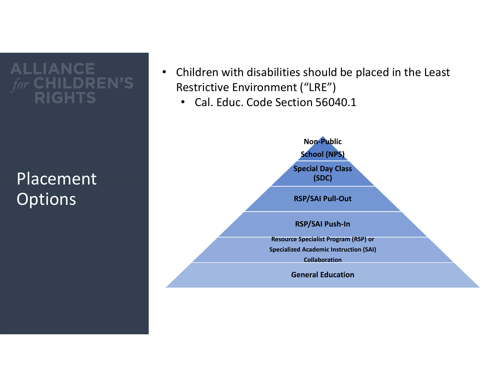**ALLIANCE** EN'S **RIGHTS** 

Placement **Options** 

- Children with disabilities should be placed in the Least Restrictive Environment ("LRE")
	- Cal. Educ. Code Section 56040.1

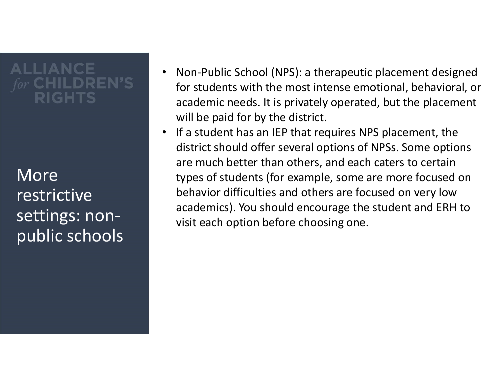More restrictive settings: nonpublic schools

- Non-Public School (NPS): a therapeutic placement designed for students with the most intense emotional, behavioral, or academic needs. It is privately operated, but the placement will be paid for by the district.
- If a student has an IEP that requires NPS placement, the district should offer several options of NPSs. Some options are much better than others, and each caters to certain types of students (for example, some are more focused on behavior difficulties and others are focused on very low academics). You should encourage the student and ERH to visit each option before choosing one.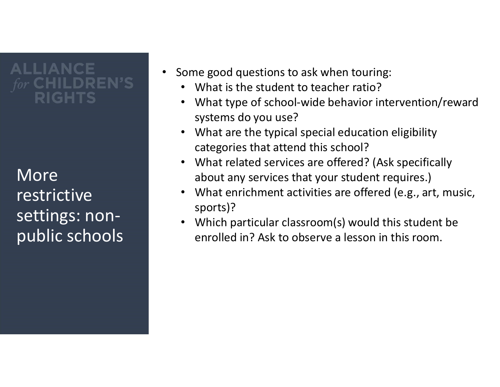More restrictive settings: nonpublic schools

- Some good questions to ask when touring:
	- What is the student to teacher ratio?
	- What type of school-wide behavior intervention/reward systems do you use?
	- What are the typical special education eligibility categories that attend this school?
	- What related services are offered? (Ask specifically about any services that your student requires.)
	- What enrichment activities are offered (e.g., art, music, sports)?
	- Which particular classroom(s) would this student be enrolled in? Ask to observe a lesson in this room.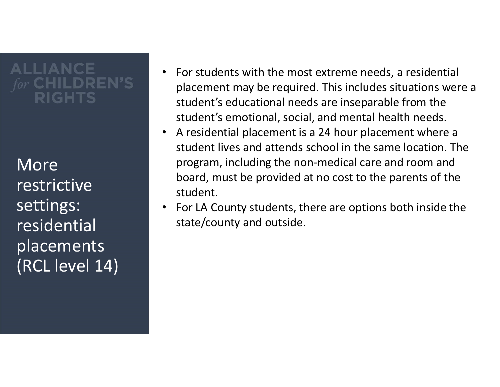More restrictive settings: residential placements (RCL level 14)

- For students with the most extreme needs, a residential placement may be required. This includes situations were a student's educational needs are inseparable from the student's emotional, social, and mental health needs.
- A residential placement is a 24 hour placement where a student lives and attends school in the same location. The program, including the non-medical care and room and board, must be provided at no cost to the parents of the student.
- For LA County students, there are options both inside the state/county and outside.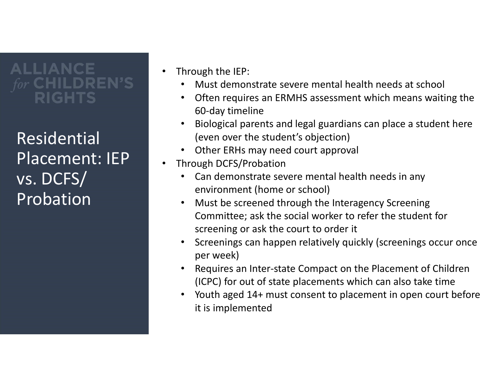Residential Placement: IEP vs. DCFS/ Probation

- Through the IEP:
	- Must demonstrate severe mental health needs at school
	- Often requires an ERMHS assessment which means waiting the 60-day timeline
	- Biological parents and legal guardians can place a student here (even over the student's objection)
	- Other ERHs may need court approval
- Through DCFS/Probation
	- Can demonstrate severe mental health needs in any environment (home or school)
	- Must be screened through the Interagency Screening Committee; ask the social worker to refer the student for screening or ask the court to order it
	- Screenings can happen relatively quickly (screenings occur once per week)
	- Requires an Inter-state Compact on the Placement of Children (ICPC) for out of state placements which can also take time
	- Youth aged 14+ must consent to placement in open court before it is implemented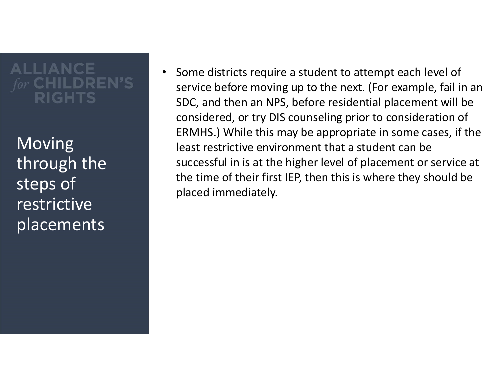**Moving** through the steps of restrictive placements

• Some districts require a student to attempt each level of service before moving up to the next. (For example, fail in an SDC, and then an NPS, before residential placement will be considered, or try DIS counseling prior to consideration of ERMHS.) While this may be appropriate in some cases, if the least restrictive environment that a student can be successful in is at the higher level of placement or service at the time of their first IEP, then this is where they should be placed immediately.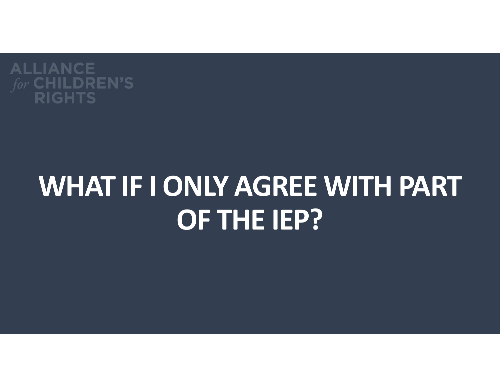

## WHAT IF I ONLY AGREE WITH PART OF THE IEP?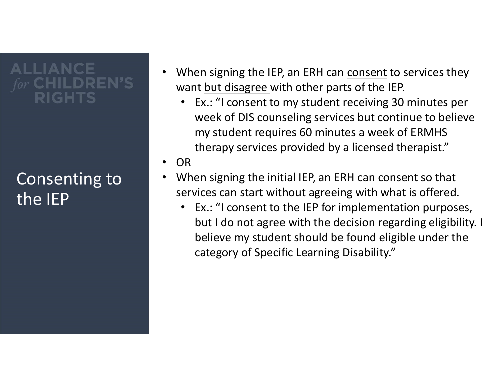#### Consenting to the IEP

- When signing the IEP, an ERH can <u>consent</u> to services they<br>want <u>but disagree w</u>ith other parts of the IEP.<br>• Ex.: "I consent to my student receiving 30 minutes per<br>week of DIS counseling services but continue to believ want but disagree with other parts of the IEP.
	- Ex.: "I consent to my student receiving 30 minutes per week of DIS counseling services but continue to believe my student requires 60 minutes a week of ERMHS therapy services provided by a licensed therapist."
- OR
- When signing the initial IEP, an ERH can consent so that services can start without agreeing with what is offered.
	- Ex.: "I consent to the IEP for implementation purposes, but I do not agree with the decision regarding eligibility. I believe my student should be found eligible under the category of Specific Learning Disability."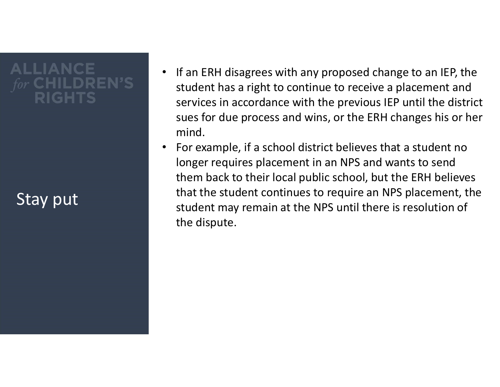# **ALLIANCE**

#### Stay put

- If an ERH disagrees with any proposed change to an IEP, the student has a right to continue to receive a placement and services in accordance with the previous IEP until the district sues for due process and wins, or the ERH changes his or her mind.
- For example, if a school district believes that a student no longer requires placement in an NPS and wants to send them back to their local public school, but the ERH believes that the student continues to require an NPS placement, the student may remain at the NPS until there is resolution of the dispute.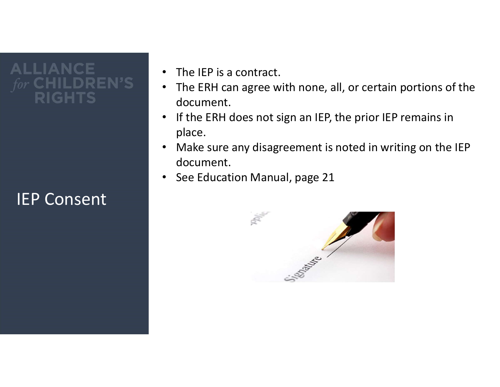# LIANCE

#### IEP Consent

- The IEP is a contract.
- The ERH can agree with none, all, or certain portions of the document.
- If the ERH does not sign an IEP, the prior IEP remains in place.
- Make sure any disagreement is noted in writing on the IEP document.
- See Education Manual, page 21

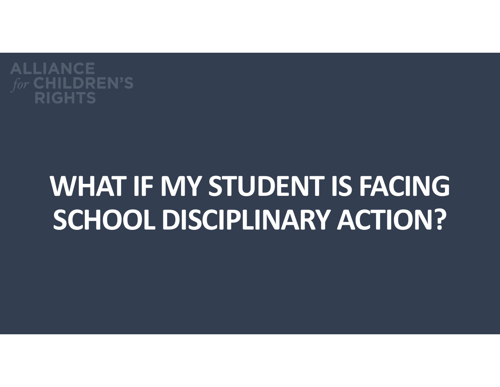

## WHAT IF MY STUDENT IS FACING SCHOOL DISCIPLINARY ACTION?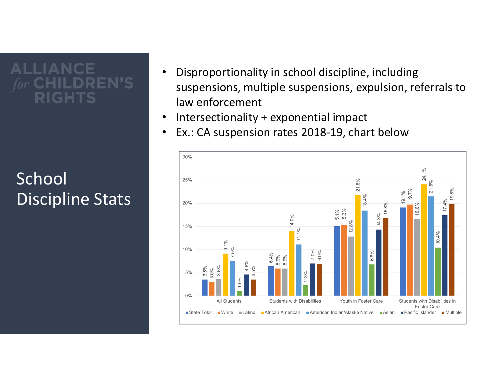#### School Discipline Stats and Law

- Disproportionality in school discipline, including suspensions, multiple suspensions, expulsion, referrals to law enforcement
- Intersectionality + exponential impact
- Ex.: CA suspension rates 2018-19, chart below

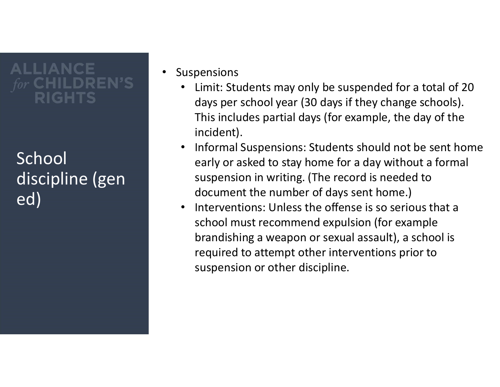#### School discipline (gen ed)

- **Suspensions** 
	- Limit: Students may only be suspended for a total of 20 days per school year (30 days if they change schools). This includes partial days (for example, the day of the incident).
	- Informal Suspensions: Students should not be sent home early or asked to stay home for a day without a formal suspension in writing. (The record is needed to document the number of days sent home.)
	- Interventions: Unless the offense is so serious that a school must recommend expulsion (for example brandishing a weapon or sexual assault), a school is required to attempt other interventions prior to suspension or other discipline.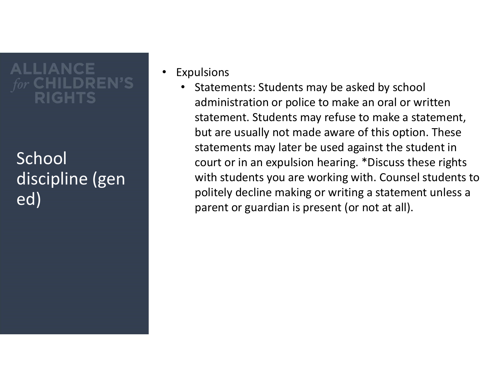#### School discipline (gen ed)

- **Expulsions** 
	- Statements: Students may be asked by school administration or police to make an oral or written statement. Students may refuse to make a statement, but are usually not made aware of this option. These statements may later be used against the student in court or in an expulsion hearing. \*Discuss these rights with students you are working with. Counsel students to politely decline making or writing a statement unless a parent or guardian is present (or not at all).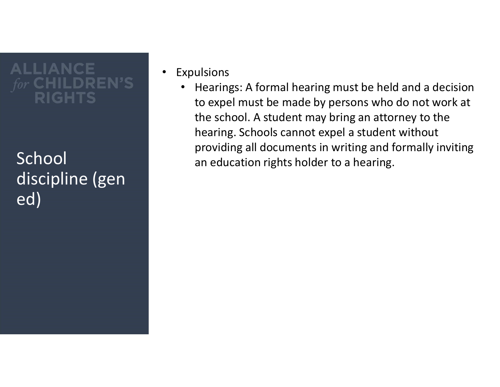discipline (gen ed)

- Expulsions
- Hearings: A formal hearing must be held and a decision to expel must be made by persons who do not work at the school. A student may bring an attorney to the hearing. Schools cannot expel a student without providing all documents in writing and formally inviting<br>School an education rights holder to a hearing.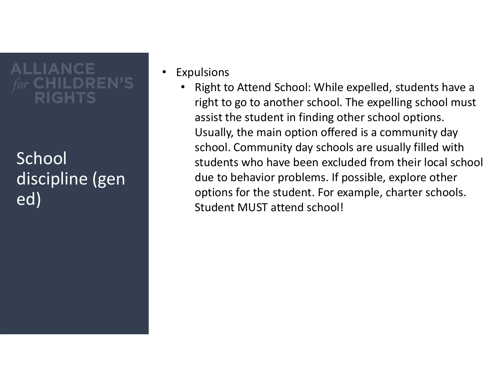#### School discipline (gen ed)

- **Expulsions** 
	- Right to Attend School: While expelled, students have a right to go to another school. The expelling school must assist the student in finding other school options. Usually, the main option offered is a community day school. Community day schools are usually filled with students who have been excluded from their local school due to behavior problems. If possible, explore other options for the student. For example, charter schools. Student MUST attend school!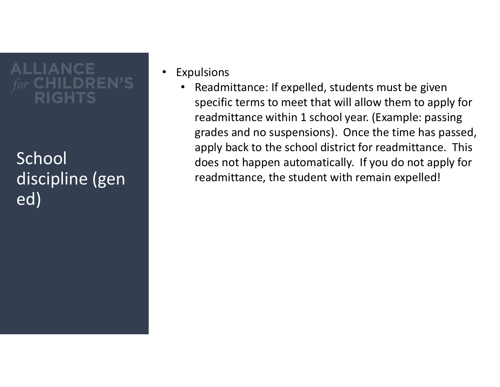#### School discipline (gen ed)

- **Expulsions** 
	- Readmittance: If expelled, students must be given specific terms to meet that will allow them to apply for readmittance within 1 school year. (Example: passing grades and no suspensions). Once the time has passed, apply back to the school district for readmittance. This does not happen automatically. If you do not apply for readmittance, the student with remain expelled!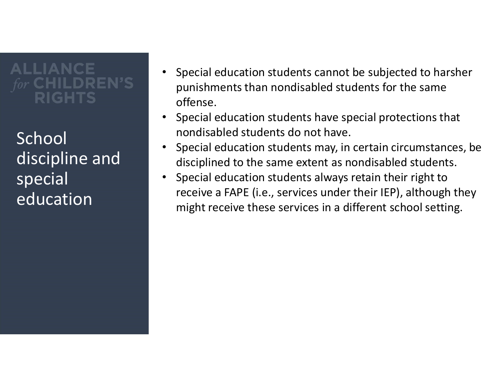**School** discipline and special education

- Special education students cannot be subjected to harsher punishments than nondisabled students for the same offense.
- Special education students have special protections that nondisabled students do not have.
- Special education students may, in certain circumstances, be disciplined to the same extent as nondisabled students.
- Special education students always retain their right to receive a FAPE (i.e., services under their IEP), although they might receive these services in a different school setting.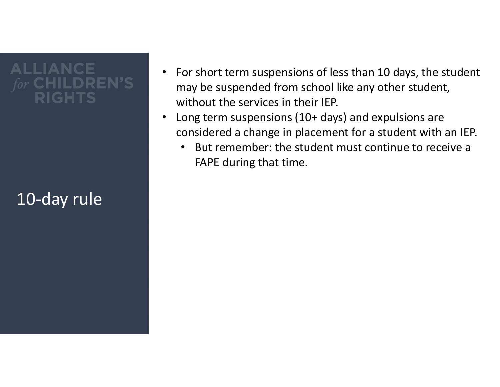#### 10-day rule

- For short term suspensions of less than 10 days, the student may be suspended from school like any other student, without the services in their IEP.
- Long term suspensions (10+ days) and expulsions are considered a change in placement for a student with an IEP.
	- But remember: the student must continue to receive a FAPE during that time.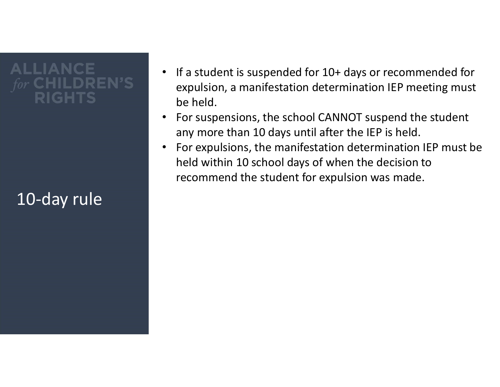### 10-day rule

- If a student is suspended for 10+ days or recommended for expulsion, a manifestation determination IEP meeting must be held.
- For suspensions, the school CANNOT suspend the student any more than 10 days until after the IEP is held.
- For expulsions, the manifestation determination IEP must be held within 10 school days of when the decision to recommend the student for expulsion was made.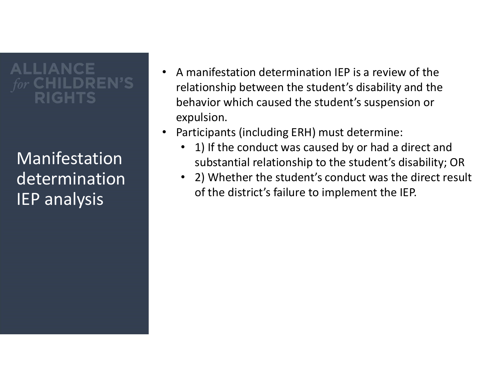Manifestation determination IEP analysis

- A manifestation determination IEP is a review of the relationship between the student's disability and the behavior which caused the student's suspension or expulsion.
- Participants (including ERH) must determine:
	- 1) If the conduct was caused by or had a direct and substantial relationship to the student's disability; OR
	- 2) Whether the student's conduct was the direct result of the district's failure to implement the IEP.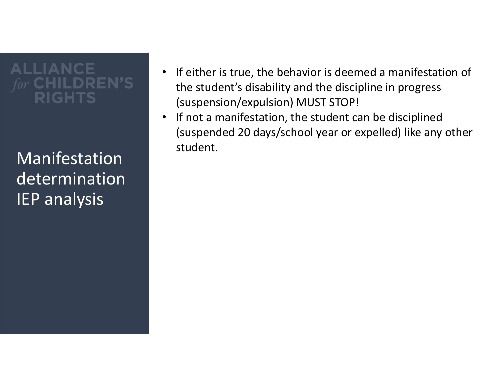student. Manifestation determination IEP analysis

- If either is true, the behavior is deemed a manifestation of the student's disability and the discipline in progress (suspension/expulsion) MUST STOP!
- If not a manifestation, the student can be disciplined (suspended 20 days/school year or expelled) like any other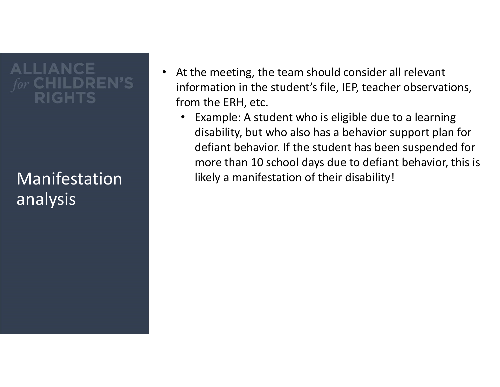## analysis

- At the meeting, the team should consider all relevant information in the student's file, IEP, teacher observations, from the ERH, etc.
- Example: A student who is eligible due to a learning disability, but who also has a behavior support plan for defiant behavior. If the student has been suspended for more than 10 school days due to defiant behavior, this is Manifestation likely a manifestation of their disability!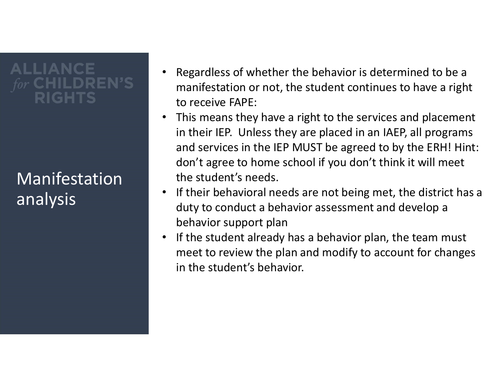#### Manifestation analysis

- Regardless of whether the behavior is determined to be a manifestation or not, the student continues to have a right to receive FAPE:
- This means they have a right to the services and placement in their IEP. Unless they are placed in an IAEP, all programs and services in the IEP MUST be agreed to by the ERH! Hint: don't agree to home school if you don't think it will meet the student's needs.
- If their behavioral needs are not being met, the district has a duty to conduct a behavior assessment and develop a behavior support plan
- If the student already has a behavior plan, the team must meet to review the plan and modify to account for changes in the student's behavior.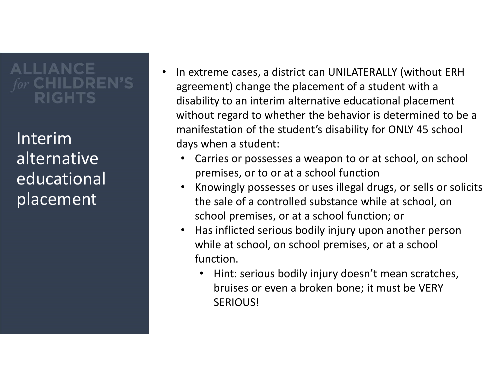Interim alternative educational placement

- In extreme cases, a district can UNILATERALLY (without ERH agreement) change the placement of a student with a disability to an interim alternative educational placement without regard to whether the behavior is determined to be a manifestation of the student's disability for ONLY 45 school days when a student:
	- Carries or possesses a weapon to or at school, on school premises, or to or at a school function
	- Knowingly possesses or uses illegal drugs, or sells or solicits the sale of a controlled substance while at school, on school premises, or at a school function; or
	- Has inflicted serious bodily injury upon another person while at school, on school premises, or at a school function.
		- Hint: serious bodily injury doesn't mean scratches, bruises or even a broken bone; it must be VERY SERIOUS!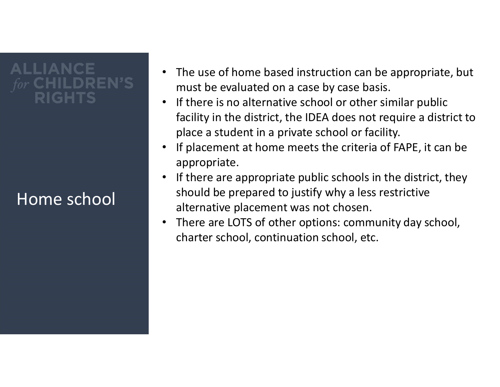# **ALLIANCE**

#### Home school

- The use of home based instruction can be appropriate, but must be evaluated on a case by case basis.
- If there is no alternative school or other similar public facility in the district, the IDEA does not require a district to place a student in a private school or facility.
- If placement at home meets the criteria of FAPE, it can be appropriate.
- If there are appropriate public schools in the district, they should be prepared to justify why a less restrictive alternative placement was not chosen.
- There are LOTS of other options: community day school, charter school, continuation school, etc.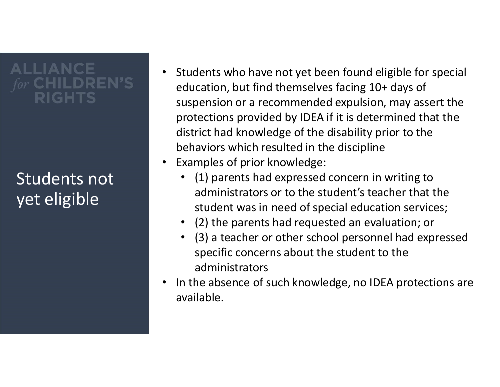#### Students not yet eligible

- Students who have not yet been found eligible for special education, but find themselves facing 10+ days of suspension or a recommended expulsion, may assert the protections provided by IDEA if it is determined that the district had knowledge of the disability prior to the behaviors which resulted in the discipline
- Examples of prior knowledge:
	- (1) parents had expressed concern in writing to administrators or to the student's teacher that the student was in need of special education services;
	- (2) the parents had requested an evaluation; or
	- (3) a teacher or other school personnel had expressed specific concerns about the student to the administrators
- In the absence of such knowledge, no IDEA protections are available.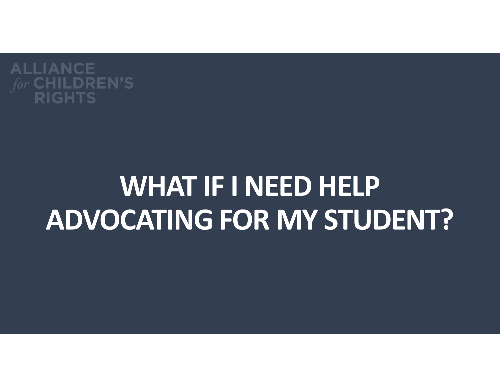

## WHAT IF I NEED HELP ADVOCATING FOR MY STUDENT?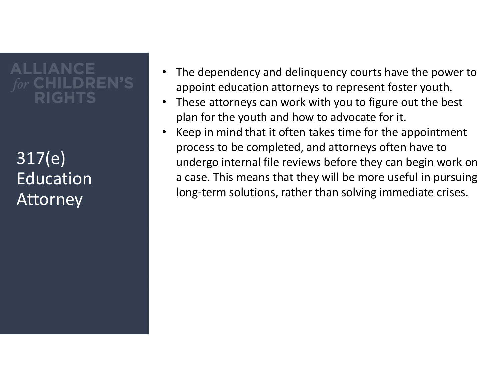317(e) Education Attorney

- The dependency and delinguency courts have the power to appoint education attorneys to represent foster youth.
- These attorneys can work with you to figure out the best plan for the youth and how to advocate for it.
- Keep in mind that it often takes time for the appointment process to be completed, and attorneys often have to undergo internal file reviews before they can begin work on a case. This means that they will be more useful in pursuing long-term solutions, rather than solving immediate crises.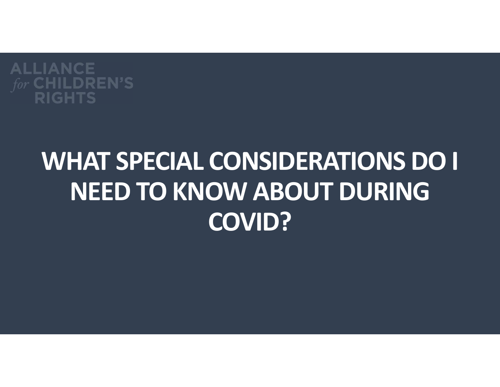

## WHAT SPECIAL CONSIDERATIONS DO I NEED TO KNOW ABOUT DURING COVID?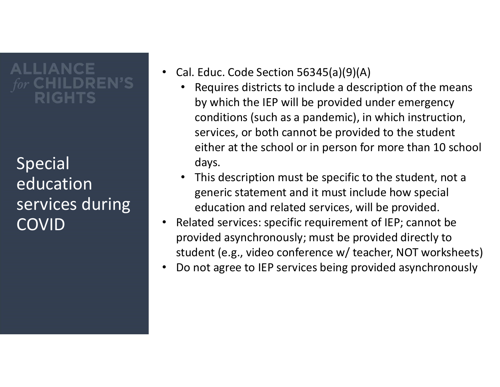Special education services during COVID

- Cal. Educ. Code Section 56345(a)(9)(A)
	- Requires districts to include a description of the means by which the IEP will be provided under emergency conditions (such as a pandemic), in which instruction, services, or both cannot be provided to the student either at the school or in person for more than 10 school days.
	- This description must be specific to the student, not a generic statement and it must include how special education and related services, will be provided.
- Related services: specific requirement of IEP; cannot be provided asynchronously; must be provided directly to student (e.g., video conference w/ teacher, NOT worksheets)
- Do not agree to IEP services being provided asynchronously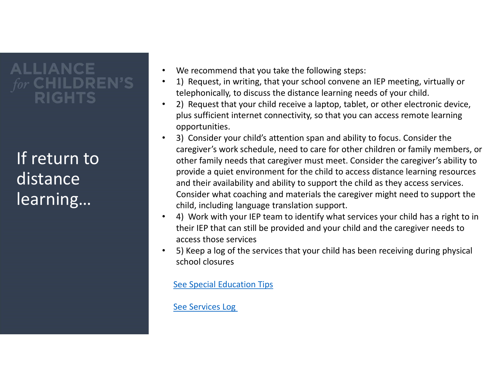If return to distance learning…

- We recommend that you take the following steps:
- telephonically, to discuss the distance learning needs of your child.
- We recommend that you take the following steps:<br>• 1) Request, in writing, that your school convene an IEP meeting, virtually or<br>• telephonically, to discuss the distance learning needs of your child.<br>• 2) Request that yo • We recommend that you take the following steps:<br>• 1) Request, in writing, that your school convene an IEP meeting, virtually or<br>• telephonically, to discuss the distance learning needs of your child.<br>• 2) Request that yo plus sufficient internet connectivity, so that you can access remote learning opportunities.
- We recommend that you take the following steps:<br>• 1) Request, in writing, that your school convene an IEP meeting, virtually or<br>• telephonically, to discuss the distance learning needs of your child.<br>• 2) Request that yo caregiver's work schedule, need to care for other children or family members, or other family needs that caregiver must meet. Consider the caregiver's ability to provide a quiet environment for the child to access distance learning resources and their availability and ability to support the child as they access services. Consider what coaching and materials the caregiver might need to support the child, including language translation support. • We recommend that you take the following steps:<br>• 1) Request, in writing, that your school convene an IEP meeting, virtually or<br>• telephonically, to discuss the distance learning needs of your child.<br>• 2) Request that yo
- their IEP that can still be provided and your child and the caregiver needs to access those services
- 5) Keep a log of the services that your child has been receiving during physical school closures

See Special Education Tips

See Services Log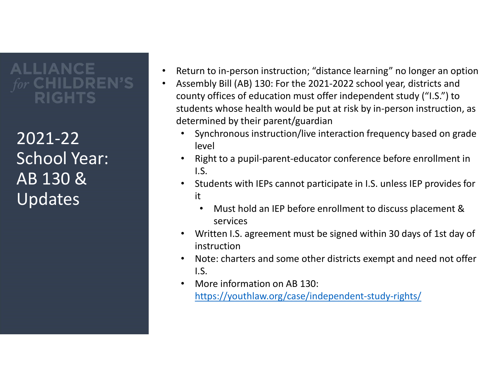2021-22 School Year: AB 130 & Updates

- Return to in-person instruction; "distance learning" no longer an option
	- Assembly Bill (AB) 130: For the 2021-2022 school year, districts and county offices of education must offer independent study ("I.S.") to students whose health would be put at risk by in-person instruction, as determined by their parent/guardian
		- Synchronous instruction/live interaction frequency based on grade level
		- Right to a pupil-parent-educator conference before enrollment in I.S.
		- Students with IEPs cannot participate in I.S. unless IEP provides for it
			- Must hold an IEP before enrollment to discuss placement & services
		- Written I.S. agreement must be signed within 30 days of 1st day of instruction
		- Note: charters and some other districts exempt and need not offer I.S.
		- More information on AB 130: https://youthlaw.org/case/independent-study-rights/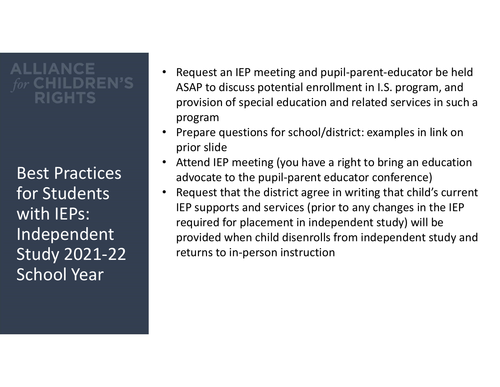## **ALLIANCE** RIGHTS

Best Practices for Students with IEPs: Independent Study 2021-22 School Year

- Request an IEP meeting and pupil-parent-educator be held ASAP to discuss potential enrollment in I.S. program, and provision of special education and related services in such a program
- Prepare questions for school/district: examples in link on prior slide
- Attend IEP meeting (you have a right to bring an education advocate to the pupil-parent educator conference)
- Request that the district agree in writing that child's current IEP supports and services (prior to any changes in the IEP required for placement in independent study) will be provided when child disenrolls from independent study and returns to in-person instruction